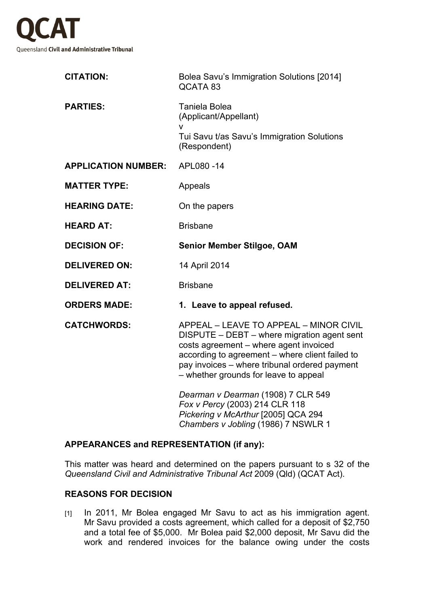

| <b>CITATION:</b>           | Bolea Savu's Immigration Solutions [2014]<br>QCATA 83                                                                                                                                                                                                                        |
|----------------------------|------------------------------------------------------------------------------------------------------------------------------------------------------------------------------------------------------------------------------------------------------------------------------|
| <b>PARTIES:</b>            | Taniela Bolea<br>(Applicant/Appellant)                                                                                                                                                                                                                                       |
|                            | v<br>Tui Savu t/as Savu's Immigration Solutions<br>(Respondent)                                                                                                                                                                                                              |
| <b>APPLICATION NUMBER:</b> | APL080-14                                                                                                                                                                                                                                                                    |
| <b>MATTER TYPE:</b>        | Appeals                                                                                                                                                                                                                                                                      |
| <b>HEARING DATE:</b>       | On the papers                                                                                                                                                                                                                                                                |
| <b>HEARD AT:</b>           | <b>Brisbane</b>                                                                                                                                                                                                                                                              |
| <b>DECISION OF:</b>        | <b>Senior Member Stilgoe, OAM</b>                                                                                                                                                                                                                                            |
| <b>DELIVERED ON:</b>       | 14 April 2014                                                                                                                                                                                                                                                                |
| <b>DELIVERED AT:</b>       | <b>Brisbane</b>                                                                                                                                                                                                                                                              |
| <b>ORDERS MADE:</b>        | 1. Leave to appeal refused.                                                                                                                                                                                                                                                  |
| <b>CATCHWORDS:</b>         | APPEAL - LEAVE TO APPEAL - MINOR CIVIL<br>DISPUTE - DEBT - where migration agent sent<br>costs agreement - where agent invoiced<br>according to agreement – where client failed to<br>pay invoices - where tribunal ordered payment<br>- whether grounds for leave to appeal |
|                            | Dearman v Dearman (1908) 7 CLR 549<br>Fox v Percy (2003) 214 CLR 118<br>Pickering v McArthur [2005] QCA 294<br>Chambers v Jobling (1986) 7 NSWLR 1                                                                                                                           |

## **APPEARANCES and REPRESENTATION (if any):**

This matter was heard and determined on the papers pursuant to s 32 of the *Queensland Civil and Administrative Tribunal Act* 2009 (Qld) (QCAT Act).

## **REASONS FOR DECISION**

[1] In 2011, Mr Bolea engaged Mr Savu to act as his immigration agent. Mr Savu provided a costs agreement, which called for a deposit of \$2,750 and a total fee of \$5,000. Mr Bolea paid \$2,000 deposit, Mr Savu did the work and rendered invoices for the balance owing under the costs